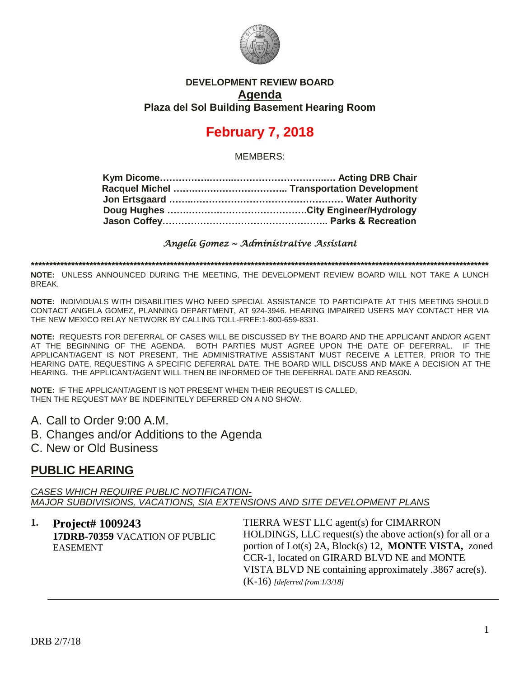

### **DEVELOPMENT REVIEW BOARD Agenda Plaza del Sol Building Basement Hearing Room**

# **February 7, 2018**

MEMBERS:

*Angela Gomez ~ Administrative Assistant* 

**\*\*\*\*\*\*\*\*\*\*\*\*\*\*\*\*\*\*\*\*\*\*\*\*\*\*\*\*\*\*\*\*\*\*\*\*\*\*\*\*\*\*\*\*\*\*\*\*\*\*\*\*\*\*\*\*\*\*\*\*\*\*\*\*\*\*\*\*\*\*\*\*\*\*\*\*\*\*\*\*\*\*\*\*\*\*\*\*\*\*\*\*\*\*\*\*\*\*\*\*\*\*\*\*\*\*\*\*\*\*\*\*\*\*\*\*\*\*\*\*\*\*\*\*\***

**NOTE:** UNLESS ANNOUNCED DURING THE MEETING, THE DEVELOPMENT REVIEW BOARD WILL NOT TAKE A LUNCH BREAK.

**NOTE:** INDIVIDUALS WITH DISABILITIES WHO NEED SPECIAL ASSISTANCE TO PARTICIPATE AT THIS MEETING SHOULD CONTACT ANGELA GOMEZ, PLANNING DEPARTMENT, AT 924-3946. HEARING IMPAIRED USERS MAY CONTACT HER VIA THE NEW MEXICO RELAY NETWORK BY CALLING TOLL-FREE:1-800-659-8331.

**NOTE:** REQUESTS FOR DEFERRAL OF CASES WILL BE DISCUSSED BY THE BOARD AND THE APPLICANT AND/OR AGENT AT THE BEGINNING OF THE AGENDA. BOTH PARTIES MUST AGREE UPON THE DATE OF DEFERRAL. IF THE APPLICANT/AGENT IS NOT PRESENT, THE ADMINISTRATIVE ASSISTANT MUST RECEIVE A LETTER, PRIOR TO THE HEARING DATE, REQUESTING A SPECIFIC DEFERRAL DATE. THE BOARD WILL DISCUSS AND MAKE A DECISION AT THE HEARING. THE APPLICANT/AGENT WILL THEN BE INFORMED OF THE DEFERRAL DATE AND REASON.

**NOTE:** IF THE APPLICANT/AGENT IS NOT PRESENT WHEN THEIR REQUEST IS CALLED, THEN THE REQUEST MAY BE INDEFINITELY DEFERRED ON A NO SHOW.

A. Call to Order 9:00 A.M.

B. Changes and/or Additions to the Agenda

C. New or Old Business

### **PUBLIC HEARING**

*CASES WHICH REQUIRE PUBLIC NOTIFICATION-MAJOR SUBDIVISIONS, VACATIONS, SIA EXTENSIONS AND SITE DEVELOPMENT PLANS*

**1. Project# 1009243 17DRB-70359** VACATION OF PUBLIC EASEMENT

TIERRA WEST LLC agent(s) for CIMARRON HOLDINGS, LLC request(s) the above action(s) for all or a portion of Lot(s) 2A, Block(s) 12, **MONTE VISTA,** zoned CCR-1, located on GIRARD BLVD NE and MONTE VISTA BLVD NE containing approximately .3867 acre(s). (K-16) *[deferred from 1/3/18]*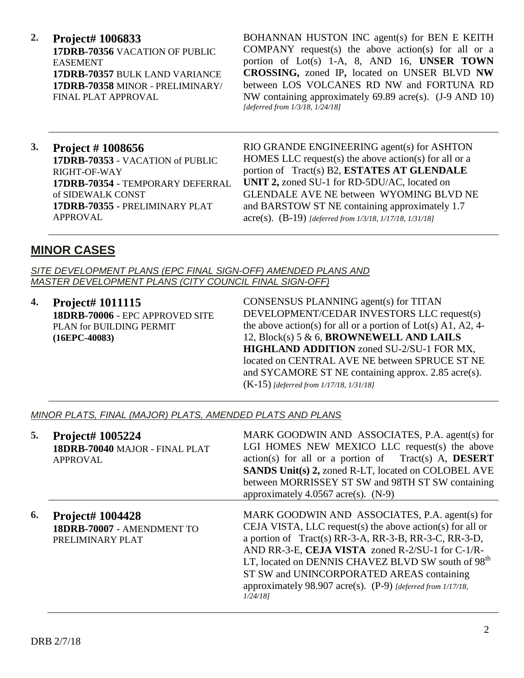**2. Project# 1006833 17DRB-70356** VACATION OF PUBLIC EASEMENT **17DRB-70357** BULK LAND VARIANCE **17DRB-70358** MINOR - PRELIMINARY/ FINAL PLAT APPROVAL

BOHANNAN HUSTON INC agent(s) for BEN E KEITH COMPANY request(s) the above action(s) for all or a portion of Lot(s) 1-A, 8, AND 16, **UNSER TOWN CROSSING,** zoned IP**,** located on UNSER BLVD **NW**  between LOS VOLCANES RD NW and FORTUNA RD NW containing approximately 69.89 acre(s). (J-9 AND 10) *[deferred from 1/3/18, 1/24/18]*

**3. Project # 1008656 17DRB-70353** - VACATION of PUBLIC RIGHT-OF-WAY **17DRB-70354** - TEMPORARY DEFERRAL of SIDEWALK CONST **17DRB-70355** - PRELIMINARY PLAT APPROVAL

RIO GRANDE ENGINEERING agent(s) for ASHTON HOMES LLC request(s) the above action(s) for all or a portion of Tract(s) B2, **ESTATES AT GLENDALE UNIT 2,** zoned SU-1 for RD-5DU/AC, located on GLENDALE AVE NE between WYOMING BLVD NE and BARSTOW ST NE containing approximately 1.7 acre(s). (B-19) *[deferred from 1/3/18, 1/17/18, 1/31/18]*

### **MINOR CASES**

*SITE DEVELOPMENT PLANS (EPC FINAL SIGN-OFF) AMENDED PLANS AND MASTER DEVELOPMENT PLANS (CITY COUNCIL FINAL SIGN-OFF)*

**4. Project# 1011115 18DRB-70006** - EPC APPROVED SITE PLAN for BUILDING PERMIT **(16EPC-40083)**

CONSENSUS PLANNING agent(s) for TITAN DEVELOPMENT/CEDAR INVESTORS LLC request(s) the above action(s) for all or a portion of  $Lot(s)$  A1, A2, 4-12, Block(s) 5 & 6, **BROWNEWELL AND LAILS HIGHLAND ADDITION** zoned SU-2/SU-1 FOR MX, located on CENTRAL AVE NE between SPRUCE ST NE and SYCAMORE ST NE containing approx. 2.85 acre(s). (K-15) *[deferred from 1/17/18, 1/31/18]*

#### *MINOR PLATS, FINAL (MAJOR) PLATS, AMENDED PLATS AND PLANS*

| 5. | Project# 1005224<br>18DRB-70040 MAJOR - FINAL PLAT<br><b>APPROVAL</b>     | MARK GOODWIN AND ASSOCIATES, P.A. agent(s) for<br>LGI HOMES NEW MEXICO LLC request(s) the above<br>$action(s)$ for all or a portion of Tract(s) A, <b>DESERT</b><br><b>SANDS Unit(s) 2, zoned R-LT, located on COLOBEL AVE</b><br>between MORRISSEY ST SW and 98TH ST SW containing<br>approximately 4.0567 acre(s). $(N-9)$                                                                                       |
|----|---------------------------------------------------------------------------|--------------------------------------------------------------------------------------------------------------------------------------------------------------------------------------------------------------------------------------------------------------------------------------------------------------------------------------------------------------------------------------------------------------------|
| 6. | <b>Project# 1004428</b><br>18DRB-70007 - AMENDMENT TO<br>PRELIMINARY PLAT | MARK GOODWIN AND ASSOCIATES, P.A. agent(s) for<br>CEJA VISTA, LLC request(s) the above action(s) for all or<br>a portion of Tract(s) RR-3-A, RR-3-B, RR-3-C, RR-3-D,<br>AND RR-3-E, CEJA VISTA zoned R-2/SU-1 for C-1/R-<br>LT, located on DENNIS CHAVEZ BLVD SW south of 98 <sup>th</sup><br>ST SW and UNINCORPORATED AREAS containing<br>approximately 98.907 acre(s). (P-9) [deferred from 1/17/18,<br>1/24/181 |